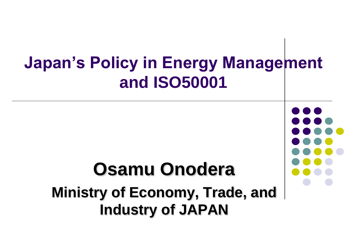## **Japan's Policy in Energy Management and ISO50001 Osamu Onodera Ministry of Economy, Trade, and Industry of JAPAN**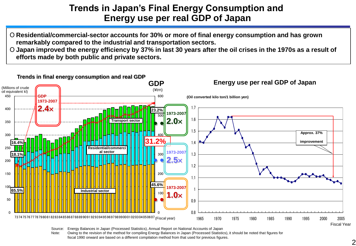## **Trends in Japan's Final Energy Consumption and Energy use per real GDP of Japan**

- Ο **Residential/commercial-sector accounts for 30% or more of final energy consumption and has grown remarkably compared to the industrial and transportation sectors.**
- Ο **Japan improved the energy efficiency by 37% in last 30 years after the oil crises in the 1970s as a result of efforts made by both public and private sectors.**



Source: Energy Balances in Japan (Processed Statistics), Annual Report on National Accounts of Japan

Note: Owing to the revision of the method for compiling Energy Balances in Japan (Processed Statistics), it should be noted that figures for fiscal 1990 onward are based on a different compilation method from that used for previous figures.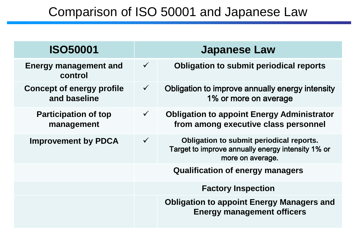## Comparison of ISO 50001 and Japanese Law

| <b>ISO50001</b>                                  |              | <b>Japanese Law</b>                                                                                               |
|--------------------------------------------------|--------------|-------------------------------------------------------------------------------------------------------------------|
| <b>Energy management and</b><br>control          | $\checkmark$ | <b>Obligation to submit periodical reports</b>                                                                    |
| <b>Concept of energy profile</b><br>and baseline | $\checkmark$ | Obligation to improve annually energy intensity<br>1% or more on average                                          |
| <b>Participation of top</b><br>management        | $\checkmark$ | <b>Obligation to appoint Energy Administrator</b><br>from among executive class personnel                         |
| <b>Improvement by PDCA</b>                       | $\checkmark$ | Obligation to submit periodical reports.<br>Target to improve annually energy intensity 1% or<br>more on average. |
|                                                  |              | <b>Qualification of energy managers</b>                                                                           |
|                                                  |              | <b>Factory Inspection</b>                                                                                         |
|                                                  |              | <b>Obligation to appoint Energy Managers and</b><br><b>Energy management officers</b>                             |